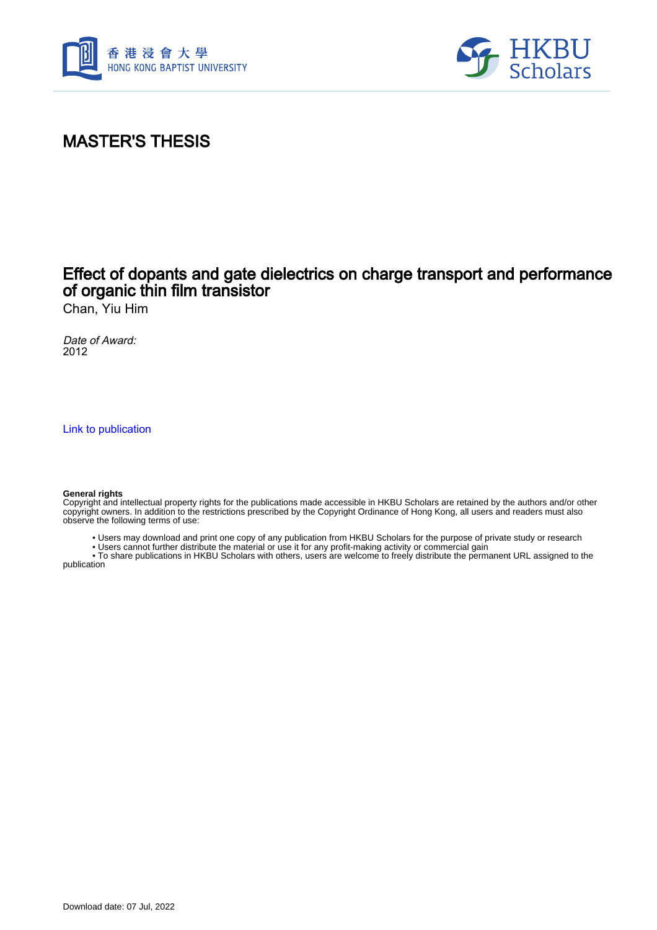



# MASTER'S THESIS

## Effect of dopants and gate dielectrics on charge transport and performance of organic thin film transistor

Chan, Yiu Him

Date of Award: 2012

[Link to publication](https://scholars.hkbu.edu.hk/en/studentTheses/44f19735-2720-46b8-9a5b-6018004f7abb)

#### **General rights**

Copyright and intellectual property rights for the publications made accessible in HKBU Scholars are retained by the authors and/or other copyright owners. In addition to the restrictions prescribed by the Copyright Ordinance of Hong Kong, all users and readers must also observe the following terms of use:

• Users may download and print one copy of any publication from HKBU Scholars for the purpose of private study or research

• Users cannot further distribute the material or use it for any profit-making activity or commercial gain

 • To share publications in HKBU Scholars with others, users are welcome to freely distribute the permanent URL assigned to the publication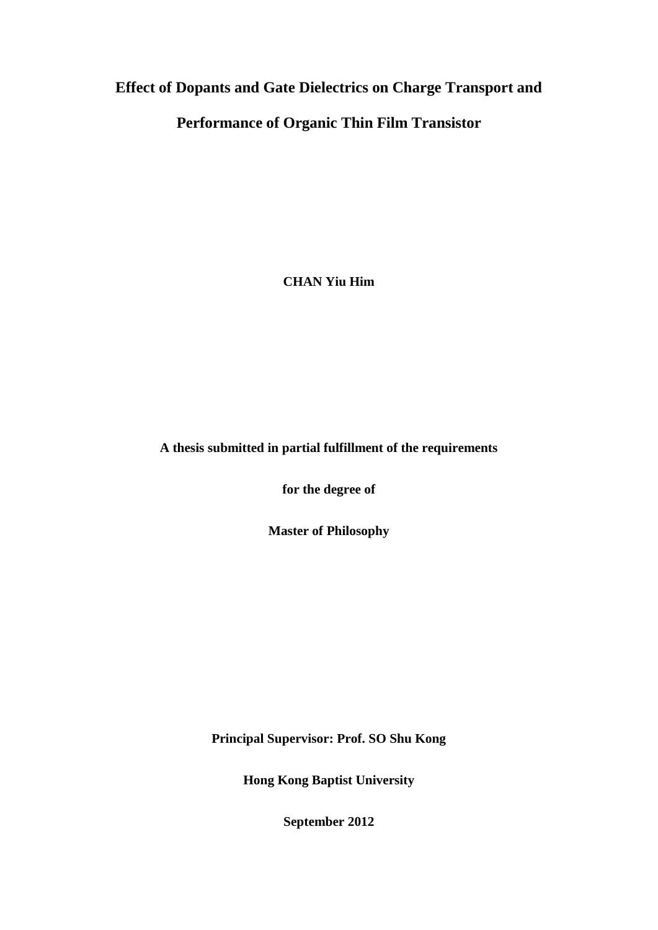## **Effect of Dopants and Gate Dielectrics on Charge Transport and**

## **Performance of Organic Thin Film Transistor**

**CHAN Yiu Him**

#### **A thesis submitted in partial fulfillment of the requirements**

**for the degree of**

**Master of Philosophy**

**Principal Supervisor: Prof. SO Shu Kong**

**Hong Kong Baptist University**

**September 2012**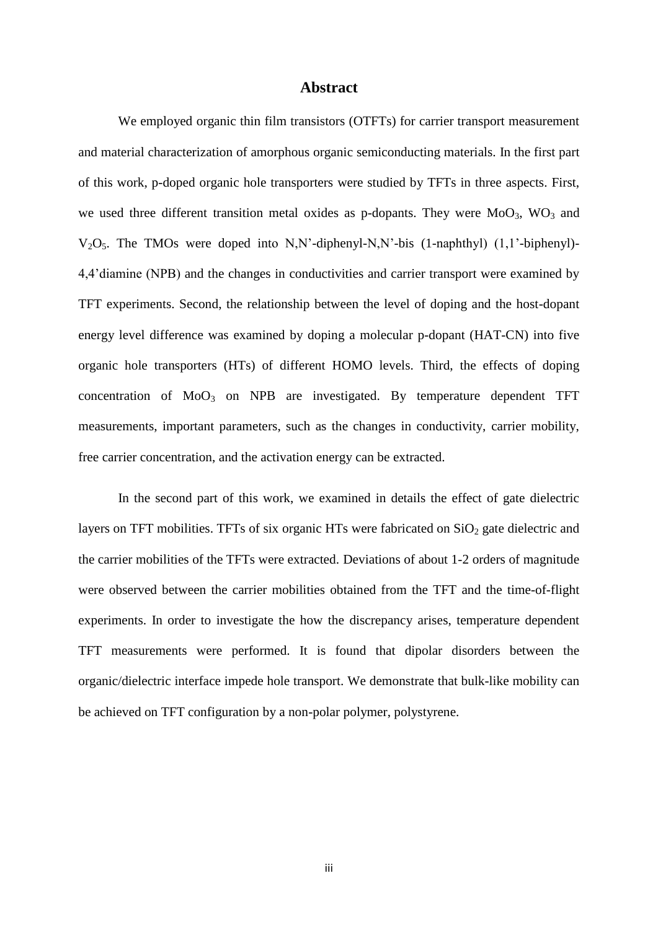#### **Abstract**

<span id="page-2-0"></span>We employed organic thin film transistors (OTFTs) for carrier transport measurement and material characterization of amorphous organic semiconducting materials. In the first part of this work, p-doped organic hole transporters were studied by TFTs in three aspects. First, we used three different transition metal oxides as p-dopants. They were  $MoO<sub>3</sub>$ , WO<sub>3</sub> and V2O5. The TMOs were doped into N,N'-diphenyl-N,N'-bis (1-naphthyl) (1,1'-biphenyl)- 4,4'diamine (NPB) and the changes in conductivities and carrier transport were examined by TFT experiments. Second, the relationship between the level of doping and the host-dopant energy level difference was examined by doping a molecular p-dopant (HAT-CN) into five organic hole transporters (HTs) of different HOMO levels. Third, the effects of doping concentration of  $MoO<sub>3</sub>$  on NPB are investigated. By temperature dependent TFT measurements, important parameters, such as the changes in conductivity, carrier mobility, free carrier concentration, and the activation energy can be extracted.

In the second part of this work, we examined in details the effect of gate dielectric layers on TFT mobilities. TFTs of six organic HTs were fabricated on  $SiO<sub>2</sub>$  gate dielectric and the carrier mobilities of the TFTs were extracted. Deviations of about 1-2 orders of magnitude were observed between the carrier mobilities obtained from the TFT and the time-of-flight experiments. In order to investigate the how the discrepancy arises, temperature dependent TFT measurements were performed. It is found that dipolar disorders between the organic/dielectric interface impede hole transport. We demonstrate that bulk-like mobility can be achieved on TFT configuration by a non-polar polymer, polystyrene.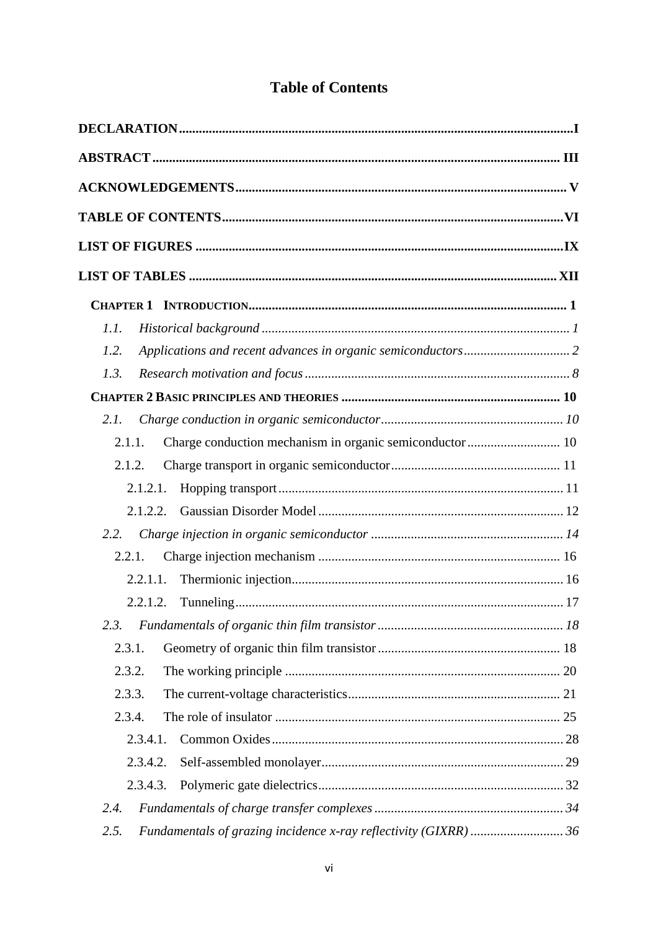|  | <b>Table of Contents</b> |
|--|--------------------------|
|--|--------------------------|

<span id="page-3-0"></span>

| 1.1.                                                               |  |
|--------------------------------------------------------------------|--|
| 1.2.                                                               |  |
| 1.3.                                                               |  |
|                                                                    |  |
| 2.1.                                                               |  |
| Charge conduction mechanism in organic semiconductor  10<br>2.1.1. |  |
| 2.1.2.                                                             |  |
| 2.1.2.1.                                                           |  |
| 2.1.2.2.                                                           |  |
| 2.2.                                                               |  |
| 2.2.1.                                                             |  |
| 2.2.1.1.                                                           |  |
|                                                                    |  |
| 2.3.                                                               |  |
| 2.3.1.                                                             |  |
| 2.3.2.                                                             |  |
| 2.3.3.                                                             |  |
| 2.3.4.                                                             |  |
| 2.3.4.1.                                                           |  |
| 2.3.4.2.                                                           |  |
| 2.3.4.3.                                                           |  |
| 2.4.                                                               |  |
| 2.5.                                                               |  |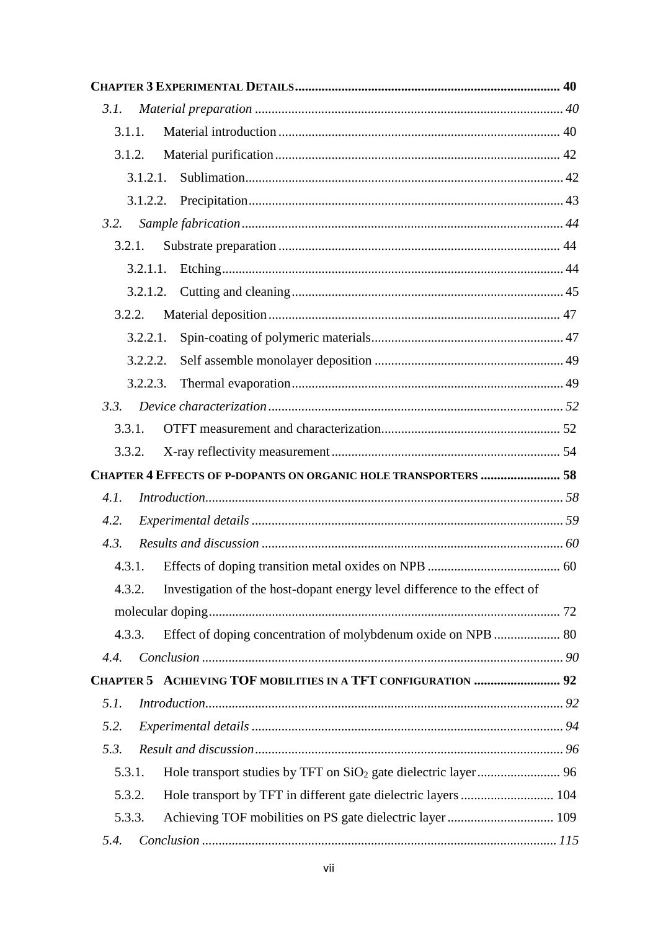| 3.1.   |          |                                                                           |  |
|--------|----------|---------------------------------------------------------------------------|--|
| 3.1.1. |          |                                                                           |  |
| 3.1.2. |          |                                                                           |  |
|        | 3.1.2.1. |                                                                           |  |
|        |          |                                                                           |  |
| 3.2.   |          |                                                                           |  |
| 3.2.1. |          |                                                                           |  |
|        |          |                                                                           |  |
|        |          |                                                                           |  |
|        | 3.2.2.   |                                                                           |  |
|        | 3.2.2.1. |                                                                           |  |
|        | 3.2.2.2. |                                                                           |  |
|        | 3.2.2.3. |                                                                           |  |
| 3.3.   |          |                                                                           |  |
| 3.3.1. |          |                                                                           |  |
| 3.3.2. |          |                                                                           |  |
|        |          | CHAPTER 4 EFFECTS OF P-DOPANTS ON ORGANIC HOLE TRANSPORTERS  58           |  |
| 4.1.   |          |                                                                           |  |
| 4.2.   |          |                                                                           |  |
| 4.3.   |          |                                                                           |  |
|        |          |                                                                           |  |
| 4.3.2. |          | Investigation of the host-dopant energy level difference to the effect of |  |
|        |          |                                                                           |  |
| 4.3.3. |          | Effect of doping concentration of molybdenum oxide on NPB  80             |  |
| 4.4.   |          |                                                                           |  |
|        |          | CHAPTER 5 ACHIEVING TOF MOBILITIES IN A TFT CONFIGURATION  92             |  |
| 5.1.   |          |                                                                           |  |
| 5.2.   |          |                                                                           |  |
| 5.3.   |          |                                                                           |  |
| 5.3.1. |          |                                                                           |  |
| 5.3.2. |          |                                                                           |  |
| 5.3.3. |          |                                                                           |  |
| 5.4.   |          |                                                                           |  |